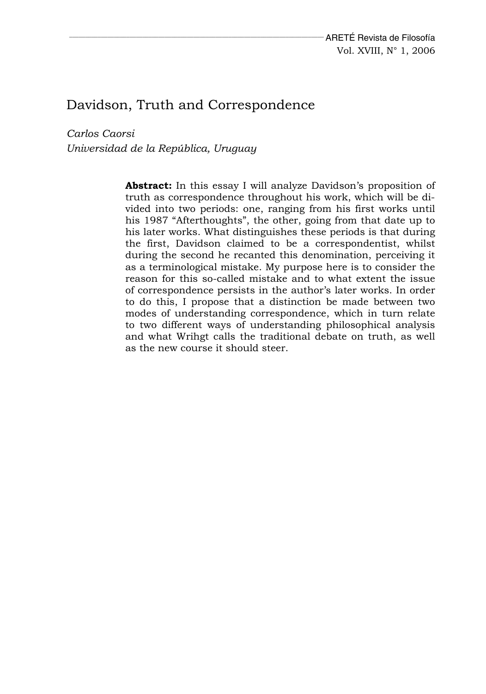## Davidson, Truth and Correspondence

*Carlos Caorsi Universidad de la República, Uruguay* 

> **Abstract:** In this essay I will analyze Davidson's proposition of truth as correspondence throughout his work, which will be divided into two periods: one, ranging from his first works until his 1987 "Afterthoughts", the other, going from that date up to his later works. What distinguishes these periods is that during the first, Davidson claimed to be a correspondentist, whilst during the second he recanted this denomination, perceiving it as a terminological mistake. My purpose here is to consider the reason for this so-called mistake and to what extent the issue of correspondence persists in the author's later works. In order to do this, I propose that a distinction be made between two modes of understanding correspondence, which in turn relate to two different ways of understanding philosophical analysis and what Wrihgt calls the traditional debate on truth, as well as the new course it should steer.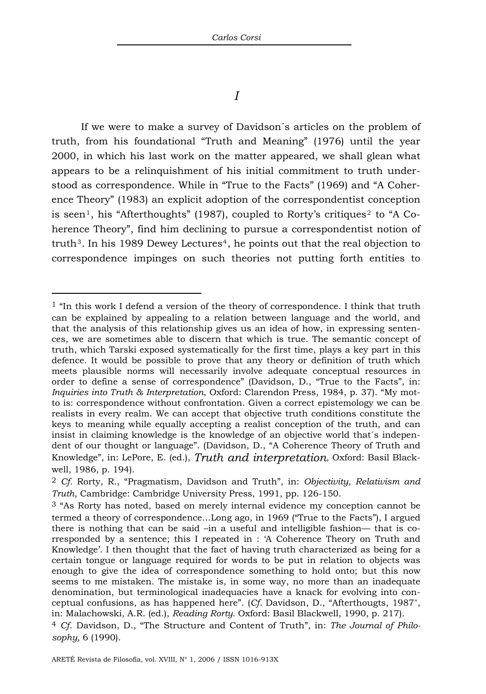*I* 

If we were to make a survey of Davidson´s articles on the problem of truth, from his foundational "Truth and Meaning" (1976) until the year 2000, in which his last work on the matter appeared, we shall glean what appears to be a relinquishment of his initial commitment to truth understood as correspondence. While in "True to the Facts" (1969) and "A Coherence Theory" (1983) an explicit adoption of the correspondentist conception is seen<sup>[1](#page-1-0)</sup>, his "Afterthoughts" (1987), coupled to Rorty's critiques<sup>[2](#page-1-1)</sup> to "A Coherence Theory", find him declining to pursue a correspondentist notion of truth<sup>[3](#page-1-2)</sup>. In his 1989 Dewey Lectures<sup>[4](#page-1-3)</sup>, he points out that the real objection to correspondence impinges on such theories not putting forth entities to

<span id="page-1-0"></span><sup>1 &</sup>quot;In this work I defend a version of the theory of correspondence. I think that truth can be explained by appealing to a relation between language and the world, and that the analysis of this relationship gives us an idea of how, in expressing sentences, we are sometimes able to discern that which is true. The semantic concept of truth, which Tarski exposed systematically for the first time, plays a key part in this defence. It would be possible to prove that any theory or definition of truth which meets plausible norms will necessarily involve adequate conceptual resources in order to define a sense of correspondence" (Davidson, D., "True to the Facts", in: *Inquiries into Truth & Interpretation*, Oxford: Clarendon Press, 1984, p. 37). "My motto is: correspondence without confrontation. Given a correct epistemology we can be realists in every realm. We can accept that objective truth conditions constitute the keys to meaning while equally accepting a realist conception of the truth, and can insist in claiming knowledge is the knowledge of an objective world that´s independent of our thought or language". (Davidson, D., "A Coherence Theory of Truth and Knowledge", in: LePore, E. (ed.), *Truth and interpretation*, Oxford: Basil Blackwell, 1986, p. 194).

<span id="page-1-1"></span><sup>2</sup> *Cf.* Rorty, R., "Pragmatism, Davidson and Truth", in: *Objectivity, Relativism and Truth*, Cambridge: Cambridge University Press, 1991, pp. 126-150.

<span id="page-1-2"></span><sup>3 &</sup>quot;As Rorty has noted, based on merely internal evidence my conception cannot be termed a theory of correspondence…Long ago, in 1969 ("True to the Facts"), I argued there is nothing that can be said –in a useful and intelligible fashion— that is corresponded by a sentence; this I repeated in : 'A Coherence Theory on Truth and Knowledge'. I then thought that the fact of having truth characterized as being for a certain tongue or language required for words to be put in relation to objects was enough to give the idea of correspondence something to hold onto; but this now seems to me mistaken. The mistake is, in some way, no more than an inadequate denomination, but terminological inadequacies have a knack for evolving into conceptual confusions, as has happened here". (*Cf.* Davidson, D., "Afterthougts, 1987", in: Malachowski, A.R. (ed.), *Reading Rorty.* Oxford: Basil Blackwell, 1990, p. 217).

<span id="page-1-3"></span><sup>4</sup> *Cf*. Davidson, D., "The Structure and Content of Truth", in: *The Journal of Philosophy,* 6 (1990).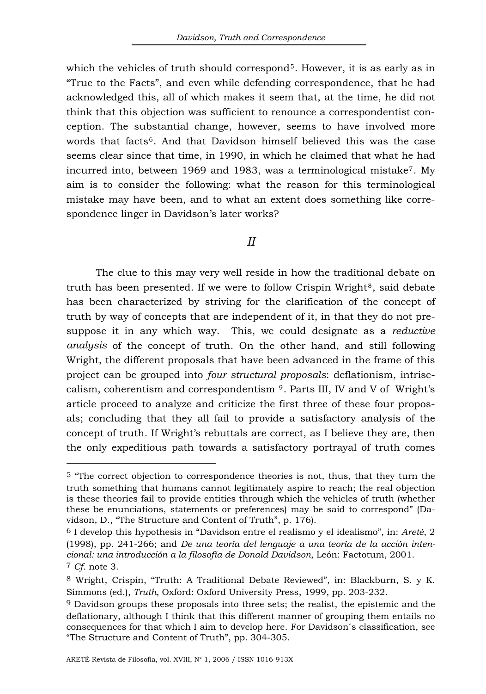which the vehicles of truth should correspond<sup>[5](#page-2-0)</sup>. However, it is as early as in "True to the Facts", and even while defending correspondence, that he had acknowledged this, all of which makes it seem that, at the time, he did not think that this objection was sufficient to renounce a correspondentist conception. The substantial change, however, seems to have involved more words that facts<sup>[6](#page-2-1)</sup>. And that Davidson himself believed this was the case seems clear since that time, in 1990, in which he claimed that what he had incurred into, between 1969 and 1983, was a terminological mistake<sup>[7](#page-2-2)</sup>. My aim is to consider the following: what the reason for this terminological mistake may have been, and to what an extent does something like correspondence linger in Davidson's later works?

## *II*

The clue to this may very well reside in how the traditional debate on truth has been presented. If we were to follow Crispin Wright $8$ , said debate has been characterized by striving for the clarification of the concept of truth by way of concepts that are independent of it, in that they do not presuppose it in any which way. This, we could designate as a *reductive analysis* of the concept of truth. On the other hand, and still following Wright, the different proposals that have been advanced in the frame of this project can be grouped into *four structural proposals*: deflationism, intrisecalism, coherentism and correspondentism  $9$ . Parts III, IV and V of Wright's article proceed to analyze and criticize the first three of these four proposals; concluding that they all fail to provide a satisfactory analysis of the concept of truth. If Wright's rebuttals are correct, as I believe they are, then the only expeditious path towards a satisfactory portrayal of truth comes

<span id="page-2-0"></span><sup>5 &</sup>quot;The correct objection to correspondence theories is not, thus, that they turn the truth something that humans cannot legitimately aspire to reach; the real objection is these theories fail to provide entities through which the vehicles of truth (whether these be enunciations, statements or preferences) may be said to correspond" (Davidson, D., "The Structure and Content of Truth", p. 176).

<span id="page-2-1"></span><sup>6</sup> I develop this hypothesis in "Davidson entre el realismo y el idealismo", in: *Areté*, 2 (1998), pp. 241-266; and *De una teoría del lenguaje a una teoría de la acción intencional: una introducción a la filosofía de Donald Davidson*, León: Factotum, 2001. 7 *Cf*. note 3.

<span id="page-2-3"></span><span id="page-2-2"></span><sup>8</sup> Wright, Crispin, "Truth: A Traditional Debate Reviewed", in: Blackburn, S. y K. Simmons (ed.), *Truth*, Oxford: Oxford University Press, 1999, pp. 203-232.

<span id="page-2-4"></span><sup>9</sup> Davidson groups these proposals into three sets; the realist, the epistemic and the deflationary, although I think that this different manner of grouping them entails no consequences for that which I aim to develop here. For Davidson´s classification, see "The Structure and Content of Truth", pp. 304-305.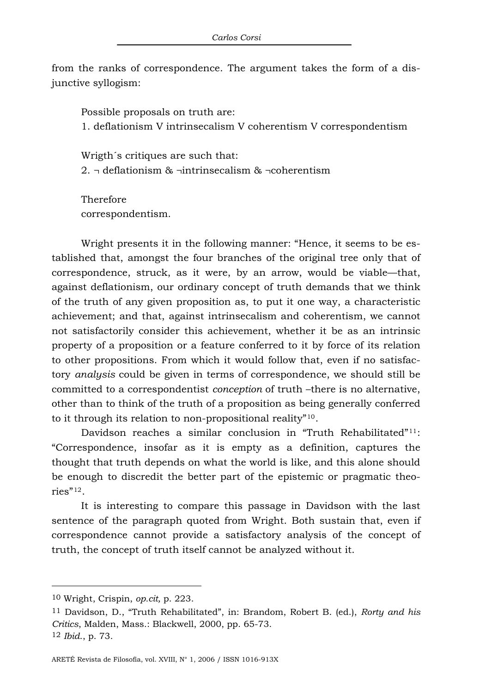from the ranks of correspondence. The argument takes the form of a disjunctive syllogism:

Possible proposals on truth are: 1. deflationism V intrinsecalism V coherentism V correspondentism

Wrigth´s critiques are such that: 2.  $\neg$  deflationism &  $\neg$ intrinsecalism &  $\neg$ coherentism

Therefore correspondentism.

Wright presents it in the following manner: "Hence, it seems to be established that, amongst the four branches of the original tree only that of correspondence, struck, as it were, by an arrow, would be viable—that, against deflationism, our ordinary concept of truth demands that we think of the truth of any given proposition as, to put it one way, a characteristic achievement; and that, against intrinsecalism and coherentism, we cannot not satisfactorily consider this achievement, whether it be as an intrinsic property of a proposition or a feature conferred to it by force of its relation to other propositions. From which it would follow that, even if no satisfactory *analysis* could be given in terms of correspondence, we should still be committed to a correspondentist *conception* of truth –there is no alternative, other than to think of the truth of a proposition as being generally conferred to it through its relation to non-propositional reality"[10](#page-3-0).

Davidson reaches a similar conclusion in "Truth Rehabilitated"<sup>[11](#page-3-1)</sup>: "Correspondence, insofar as it is empty as a definition, captures the thought that truth depends on what the world is like, and this alone should be enough to discredit the better part of the epistemic or pragmatic theories"[12](#page-3-2).

It is interesting to compare this passage in Davidson with the last sentence of the paragraph quoted from Wright. Both sustain that, even if correspondence cannot provide a satisfactory analysis of the concept of truth, the concept of truth itself cannot be analyzed without it.

<span id="page-3-0"></span><sup>10</sup> Wright, Crispin, *op.cit,* p. 223.

<span id="page-3-2"></span><span id="page-3-1"></span><sup>11</sup> Davidson, D., "Truth Rehabilitated", in: Brandom, Robert B. (ed.), *Rorty and his Critics*, Malden, Mass.: Blackwell, 2000, pp. 65-73. 12 *Ibid*., p. 73.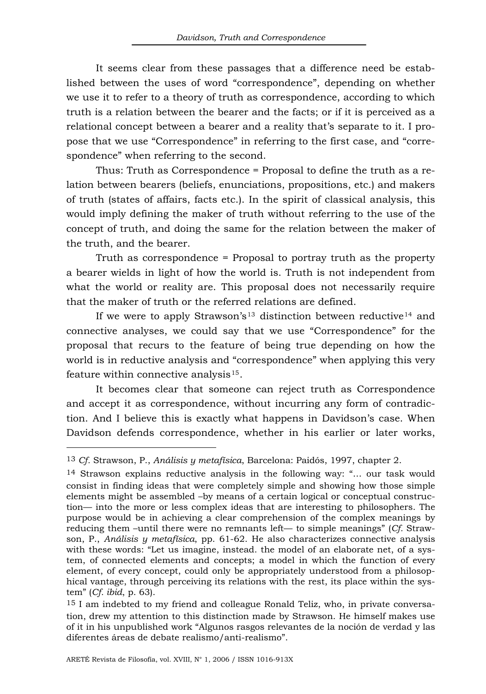It seems clear from these passages that a difference need be established between the uses of word "correspondence", depending on whether we use it to refer to a theory of truth as correspondence, according to which truth is a relation between the bearer and the facts; or if it is perceived as a relational concept between a bearer and a reality that's separate to it. I propose that we use "Correspondence" in referring to the first case, and "correspondence" when referring to the second.

Thus: Truth as Correspondence = Proposal to define the truth as a relation between bearers (beliefs, enunciations, propositions, etc.) and makers of truth (states of affairs, facts etc.). In the spirit of classical analysis, this would imply defining the maker of truth without referring to the use of the concept of truth, and doing the same for the relation between the maker of the truth, and the bearer.

Truth as correspondence = Proposal to portray truth as the property a bearer wields in light of how the world is. Truth is not independent from what the world or reality are. This proposal does not necessarily require that the maker of truth or the referred relations are defined.

If we were to apply Strawson's<sup>[13](#page-4-0)</sup> distinction between reductive<sup>[14](#page-4-1)</sup> and connective analyses, we could say that we use "Correspondence" for the proposal that recurs to the feature of being true depending on how the world is in reductive analysis and "correspondence" when applying this very feature within connective analysis<sup>[15](#page-4-2)</sup>.

It becomes clear that someone can reject truth as Correspondence and accept it as correspondence, without incurring any form of contradiction. And I believe this is exactly what happens in Davidson's case. When Davidson defends correspondence, whether in his earlier or later works,

<span id="page-4-0"></span><sup>13</sup> *Cf.* Strawson, P., *Análisis y metafísica*, Barcelona: Paidós, 1997, chapter 2.

<span id="page-4-1"></span><sup>14</sup> Strawson explains reductive analysis in the following way: "… our task would consist in finding ideas that were completely simple and showing how those simple elements might be assembled –by means of a certain logical or conceptual construction— into the more or less complex ideas that are interesting to philosophers. The purpose would be in achieving a clear comprehension of the complex meanings by reducing them –until there were no remnants left— to simple meanings" (*Cf.* Strawson, P., *Análisis y metafísica*, pp. 61-62. He also characterizes connective analysis with these words: "Let us imagine, instead. the model of an elaborate net, of a system, of connected elements and concepts; a model in which the function of every element, of every concept, could only be appropriately understood from a philosophical vantage, through perceiving its relations with the rest, its place within the system" (*Cf. ibid*, p. 63).

<span id="page-4-2"></span><sup>15</sup> I am indebted to my friend and colleague Ronald Teliz, who, in private conversation, drew my attention to this distinction made by Strawson. He himself makes use of it in his unpublished work "Algunos rasgos relevantes de la noción de verdad y las diferentes áreas de debate realismo/anti-realismo".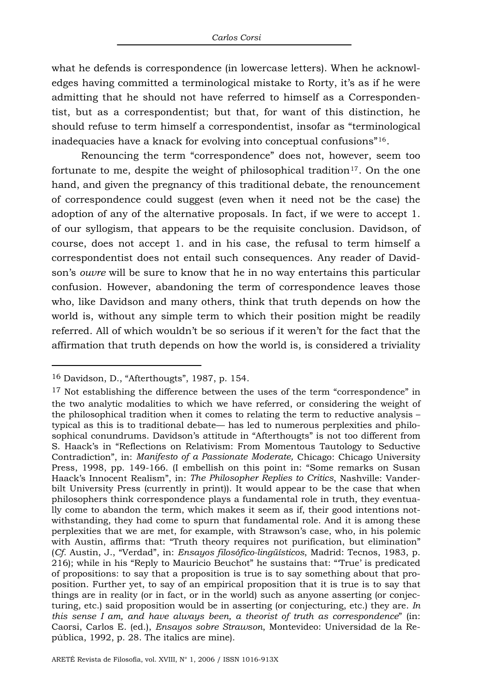what he defends is correspondence (in lowercase letters). When he acknowledges having committed a terminological mistake to Rorty, it's as if he were admitting that he should not have referred to himself as a Correspondentist, but as a correspondentist; but that, for want of this distinction, he should refuse to term himself a correspondentist, insofar as "terminological inadequacies have a knack for evolving into conceptual confusions"[16](#page-5-0).

Renouncing the term "correspondence" does not, however, seem too fortunate to me, despite the weight of philosophical tradition<sup>[17](#page-5-1)</sup>. On the one hand, and given the pregnancy of this traditional debate, the renouncement of correspondence could suggest (even when it need not be the case) the adoption of any of the alternative proposals. In fact, if we were to accept 1. of our syllogism, that appears to be the requisite conclusion. Davidson, of course, does not accept 1. and in his case, the refusal to term himself a correspondentist does not entail such consequences. Any reader of Davidson's *ouvre* will be sure to know that he in no way entertains this particular confusion. However, abandoning the term of correspondence leaves those who, like Davidson and many others, think that truth depends on how the world is, without any simple term to which their position might be readily referred. All of which wouldn't be so serious if it weren't for the fact that the affirmation that truth depends on how the world is, is considered a triviality

<span id="page-5-0"></span><sup>16</sup> Davidson, D., "Afterthougts", 1987, p. 154.

<span id="page-5-1"></span><sup>&</sup>lt;sup>17</sup> Not establishing the difference between the uses of the term "correspondence" in the two analytic modalities to which we have referred, or considering the weight of the philosophical tradition when it comes to relating the term to reductive analysis – typical as this is to traditional debate— has led to numerous perplexities and philosophical conundrums. Davidson's attitude in "Afterthougts" is not too different from S. Haack's in "Reflections on Relativism: From Momentous Tautology to Seductive Contradiction", in: *Manifesto of a Passionate Moderate,* Chicago: Chicago University Press, 1998, pp. 149-166. (I embellish on this point in: "Some remarks on Susan Haack's Innocent Realism", in: *The Philosopher Replies to Critics*, Nashville: Vanderbilt University Press (currently in print)). It would appear to be the case that when philosophers think correspondence plays a fundamental role in truth, they eventually come to abandon the term, which makes it seem as if, their good intentions notwithstanding, they had come to spurn that fundamental role. And it is among these perplexities that we are met, for example, with Strawson's case, who, in his polemic with Austin, affirms that: "Truth theory requires not purification, but elimination" (*Cf.* Austin, J., "Verdad", in: *Ensayos filosófico-lingüísticos*, Madrid: Tecnos, 1983, p. 216); while in his "Reply to Mauricio Beuchot" he sustains that: "'True' is predicated of propositions: to say that a proposition is true is to say something about that proposition. Further yet, to say of an empirical proposition that it is true is to say that things are in reality (or in fact, or in the world) such as anyone asserting (or conjecturing, etc.) said proposition would be in asserting (or conjecturing, etc.) they are. *In this sense I am, and have always been, a theorist of truth as correspondence*" (in: Caorsi, Carlos E. (ed.), *Ensayos sobre Strawson*, Montevideo: Universidad de la República, 1992, p. 28. The italics are mine).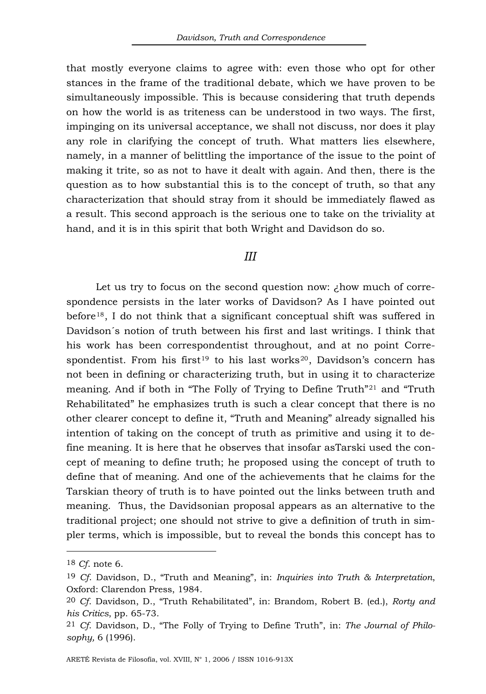that mostly everyone claims to agree with: even those who opt for other stances in the frame of the traditional debate, which we have proven to be simultaneously impossible. This is because considering that truth depends on how the world is as triteness can be understood in two ways. The first, impinging on its universal acceptance, we shall not discuss, nor does it play any role in clarifying the concept of truth. What matters lies elsewhere, namely, in a manner of belittling the importance of the issue to the point of making it trite, so as not to have it dealt with again. And then, there is the question as to how substantial this is to the concept of truth, so that any characterization that should stray from it should be immediately flawed as a result. This second approach is the serious one to take on the triviality at hand, and it is in this spirit that both Wright and Davidson do so.

## *III*

Let us try to focus on the second question now: ¿how much of correspondence persists in the later works of Davidson? As I have pointed out before<sup>[18](#page-6-0)</sup>, I do not think that a significant conceptual shift was suffered in Davidson´s notion of truth between his first and last writings. I think that his work has been correspondentist throughout, and at no point Corre-spondentist. From his first<sup>[19](#page-6-1)</sup> to his last works<sup>[20](#page-6-2)</sup>, Davidson's concern has not been in defining or characterizing truth, but in using it to characterize meaning. And if both in "The Folly of Trying to Define Truth"<sup>[21](#page-6-3)</sup> and "Truth" Rehabilitated" he emphasizes truth is such a clear concept that there is no other clearer concept to define it, "Truth and Meaning" already signalled his intention of taking on the concept of truth as primitive and using it to define meaning. It is here that he observes that insofar asTarski used the concept of meaning to define truth; he proposed using the concept of truth to define that of meaning. And one of the achievements that he claims for the Tarskian theory of truth is to have pointed out the links between truth and meaning. Thus, the Davidsonian proposal appears as an alternative to the traditional project; one should not strive to give a definition of truth in simpler terms, which is impossible, but to reveal the bonds this concept has to

<span id="page-6-0"></span><sup>18</sup> *Cf*. note 6.

<span id="page-6-1"></span><sup>19</sup> *Cf*. Davidson, D., "Truth and Meaning", in: *Inquiries into Truth & Interpretation*, Oxford: Clarendon Press, 1984.

<span id="page-6-2"></span><sup>20</sup> *Cf*. Davidson, D., "Truth Rehabilitated", in: Brandom, Robert B. (ed.), *Rorty and his Critics*, pp. 65-73.

<span id="page-6-3"></span><sup>21</sup> *Cf*. Davidson, D., "The Folly of Trying to Define Truth", in: *The Journal of Philosophy,* 6 (1996).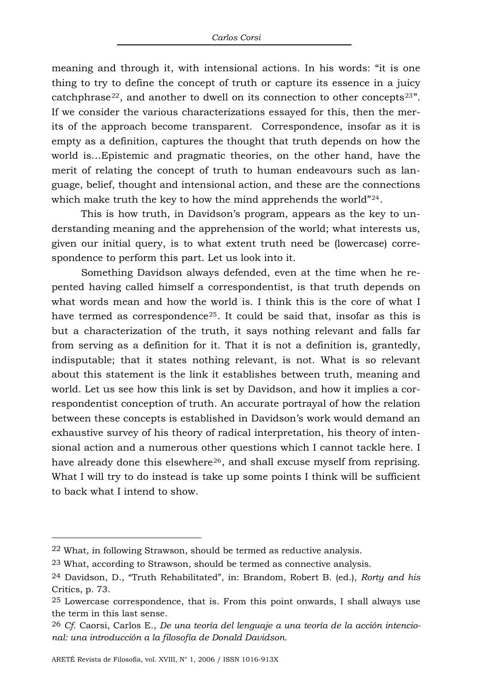meaning and through it, with intensional actions. In his words: "it is one thing to try to define the concept of truth or capture its essence in a juicy catchphrase<sup>[22](#page-7-0)</sup>, and another to dwell on its connection to other concepts<sup>[23](#page-7-1)"</sup>. If we consider the various characterizations essayed for this, then the merits of the approach become transparent. Correspondence, insofar as it is empty as a definition, captures the thought that truth depends on how the world is…Epistemic and pragmatic theories, on the other hand, have the merit of relating the concept of truth to human endeavours such as language, belief, thought and intensional action, and these are the connections which make truth the key to how the mind apprehends the world"<sup>[24](#page-7-2)</sup>.

This is how truth, in Davidson's program, appears as the key to understanding meaning and the apprehension of the world; what interests us, given our initial query, is to what extent truth need be (lowercase) correspondence to perform this part. Let us look into it.

Something Davidson always defended, even at the time when he repented having called himself a correspondentist, is that truth depends on what words mean and how the world is. I think this is the core of what I have termed as correspondence[25](#page-7-3). It could be said that, insofar as this is but a characterization of the truth, it says nothing relevant and falls far from serving as a definition for it. That it is not a definition is, grantedly, indisputable; that it states nothing relevant, is not. What is so relevant about this statement is the link it establishes between truth, meaning and world. Let us see how this link is set by Davidson, and how it implies a correspondentist conception of truth. An accurate portrayal of how the relation between these concepts is established in Davidson's work would demand an exhaustive survey of his theory of radical interpretation, his theory of intensional action and a numerous other questions which I cannot tackle here. I have already done this elsewhere<sup>[26](#page-7-4)</sup>, and shall excuse myself from reprising. What I will try to do instead is take up some points I think will be sufficient to back what I intend to show.

<span id="page-7-0"></span><sup>22</sup> What, in following Strawson, should be termed as reductive analysis.

<span id="page-7-1"></span><sup>23</sup> What, according to Strawson, should be termed as connective analysis.

<span id="page-7-2"></span><sup>24</sup> Davidson, D., "Truth Rehabilitated", in: Brandom, Robert B. (ed.), *Rorty and his*  Critics, p. 73.

<span id="page-7-3"></span><sup>25</sup> Lowercase correspondence, that is. From this point onwards, I shall always use the term in this last sense.

<span id="page-7-4"></span><sup>26</sup> *Cf*. Caorsi, Carlos E., *De una teoría del lenguaje a una teoría de la acción intencional: una introducción a la filosofía de Donald Davidson*.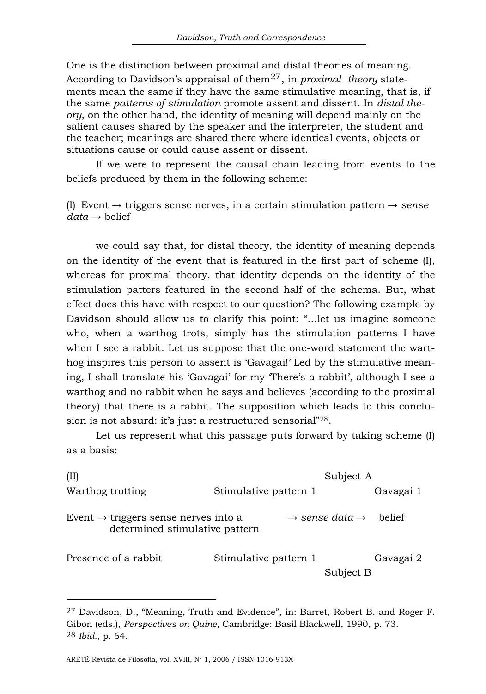One is the distinction between proximal and distal theories of meaning. According to Davidson's appraisal of them[27](#page-8-0), in *proximal theory* statements mean the same if they have the same stimulative meaning, that is, if the same *patterns of stimulation* promote assent and dissent. In *distal theory*, on the other hand, the identity of meaning will depend mainly on the salient causes shared by the speaker and the interpreter, the student and the teacher; meanings are shared there where identical events, objects or situations cause or could cause assent or dissent.

If we were to represent the causal chain leading from events to the beliefs produced by them in the following scheme:

(I) Event  $\rightarrow$  triggers sense nerves, in a certain stimulation pattern  $\rightarrow$  *sense*  $data \rightarrow$  belief

we could say that, for distal theory, the identity of meaning depends on the identity of the event that is featured in the first part of scheme (I), whereas for proximal theory, that identity depends on the identity of the stimulation patters featured in the second half of the schema. But, what effect does this have with respect to our question? The following example by Davidson should allow us to clarify this point: "…let us imagine someone who, when a warthog trots, simply has the stimulation patterns I have when I see a rabbit. Let us suppose that the one-word statement the warthog inspires this person to assent is 'Gavagai!' Led by the stimulative meaning, I shall translate his 'Gavagai' for my 'There's a rabbit', although I see a warthog and no rabbit when he says and believes (according to the proximal theory) that there is a rabbit. The supposition which leads to this conclu-sion is not absurd: it's just a restructured sensorial"<sup>[28](#page-8-1)</sup>.

Let us represent what this passage puts forward by taking scheme (I) as a basis:

| (II)                                                                               | Subject A                              |           |
|------------------------------------------------------------------------------------|----------------------------------------|-----------|
| Warthog trotting                                                                   | Stimulative pattern 1                  | Gavagai 1 |
| Event $\rightarrow$ triggers sense nerves into a<br>determined stimulative pattern | $\rightarrow$ sense data $\rightarrow$ | helief    |
| Presence of a rabbit                                                               | Stimulative pattern 1                  | Gavagai 2 |
|                                                                                    | Subject B                              |           |

<span id="page-8-1"></span><span id="page-8-0"></span><sup>27</sup> Davidson, D., "Meaning, Truth and Evidence", in: Barret, Robert B. and Roger F. Gibon (eds.), *Perspectives on Quine,* Cambridge: Basil Blackwell, 1990, p. 73. 28 *Ibid*., p. 64.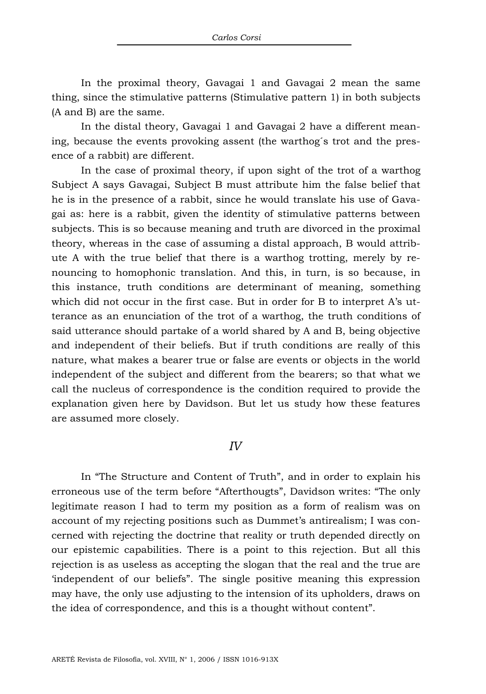In the proximal theory, Gavagai 1 and Gavagai 2 mean the same thing, since the stimulative patterns (Stimulative pattern 1) in both subjects (A and B) are the same.

In the distal theory, Gavagai 1 and Gavagai 2 have a different meaning, because the events provoking assent (the warthog´s trot and the presence of a rabbit) are different.

In the case of proximal theory, if upon sight of the trot of a warthog Subject A says Gavagai, Subject B must attribute him the false belief that he is in the presence of a rabbit, since he would translate his use of Gavagai as: here is a rabbit, given the identity of stimulative patterns between subjects. This is so because meaning and truth are divorced in the proximal theory, whereas in the case of assuming a distal approach, B would attribute A with the true belief that there is a warthog trotting, merely by renouncing to homophonic translation. And this, in turn, is so because, in this instance, truth conditions are determinant of meaning, something which did not occur in the first case. But in order for B to interpret A's utterance as an enunciation of the trot of a warthog, the truth conditions of said utterance should partake of a world shared by A and B, being objective and independent of their beliefs. But if truth conditions are really of this nature, what makes a bearer true or false are events or objects in the world independent of the subject and different from the bearers; so that what we call the nucleus of correspondence is the condition required to provide the explanation given here by Davidson. But let us study how these features are assumed more closely.

## *IV*

In "The Structure and Content of Truth", and in order to explain his erroneous use of the term before "Afterthougts", Davidson writes: "The only legitimate reason I had to term my position as a form of realism was on account of my rejecting positions such as Dummet's antirealism; I was concerned with rejecting the doctrine that reality or truth depended directly on our epistemic capabilities. There is a point to this rejection. But all this rejection is as useless as accepting the slogan that the real and the true are 'independent of our beliefs". The single positive meaning this expression may have, the only use adjusting to the intension of its upholders, draws on the idea of correspondence, and this is a thought without content".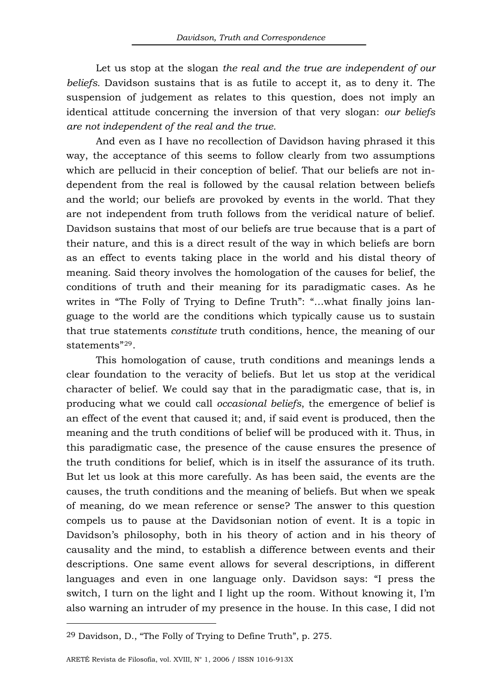Let us stop at the slogan *the real and the true are independent of our beliefs.* Davidson sustains that is as futile to accept it, as to deny it. The suspension of judgement as relates to this question, does not imply an identical attitude concerning the inversion of that very slogan: *our beliefs are not independent of the real and the true.* 

And even as I have no recollection of Davidson having phrased it this way, the acceptance of this seems to follow clearly from two assumptions which are pellucid in their conception of belief. That our beliefs are not independent from the real is followed by the causal relation between beliefs and the world; our beliefs are provoked by events in the world. That they are not independent from truth follows from the veridical nature of belief. Davidson sustains that most of our beliefs are true because that is a part of their nature, and this is a direct result of the way in which beliefs are born as an effect to events taking place in the world and his distal theory of meaning. Said theory involves the homologation of the causes for belief, the conditions of truth and their meaning for its paradigmatic cases. As he writes in "The Folly of Trying to Define Truth": "...what finally joins language to the world are the conditions which typically cause us to sustain that true statements *constitute* truth conditions, hence, the meaning of our statements"[29](#page-10-0).

This homologation of cause, truth conditions and meanings lends a clear foundation to the veracity of beliefs. But let us stop at the veridical character of belief. We could say that in the paradigmatic case, that is, in producing what we could call *occasional beliefs*, the emergence of belief is an effect of the event that caused it; and, if said event is produced, then the meaning and the truth conditions of belief will be produced with it. Thus, in this paradigmatic case, the presence of the cause ensures the presence of the truth conditions for belief, which is in itself the assurance of its truth. But let us look at this more carefully. As has been said, the events are the causes, the truth conditions and the meaning of beliefs. But when we speak of meaning, do we mean reference or sense? The answer to this question compels us to pause at the Davidsonian notion of event. It is a topic in Davidson's philosophy, both in his theory of action and in his theory of causality and the mind, to establish a difference between events and their descriptions. One same event allows for several descriptions, in different languages and even in one language only. Davidson says: "I press the switch, I turn on the light and I light up the room. Without knowing it, I'm also warning an intruder of my presence in the house. In this case, I did not

<span id="page-10-0"></span><sup>29</sup> Davidson, D., "The Folly of Trying to Define Truth", p. 275.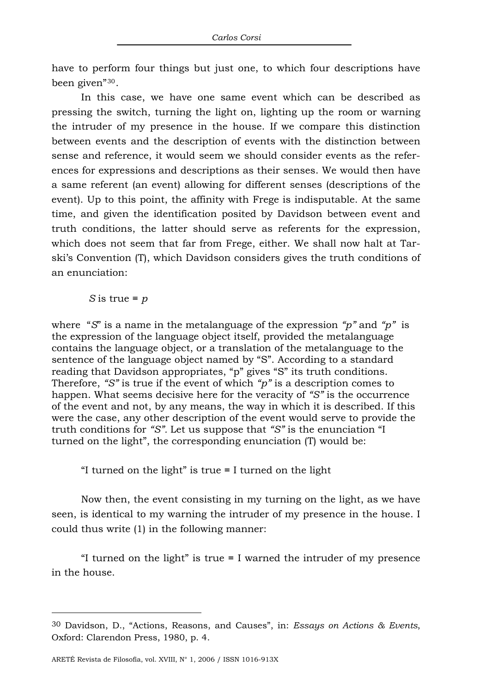have to perform four things but just one, to which four descriptions have been given"[30](#page-11-0).

In this case, we have one same event which can be described as pressing the switch, turning the light on, lighting up the room or warning the intruder of my presence in the house. If we compare this distinction between events and the description of events with the distinction between sense and reference, it would seem we should consider events as the references for expressions and descriptions as their senses. We would then have a same referent (an event) allowing for different senses (descriptions of the event). Up to this point, the affinity with Frege is indisputable. At the same time, and given the identification posited by Davidson between event and truth conditions, the latter should serve as referents for the expression, which does not seem that far from Frege, either. We shall now halt at Tarski's Convention (T), which Davidson considers gives the truth conditions of an enunciation:

*S* is true  $= p$ 

where "*S*" is a name in the metalanguage of the expression *"p"* and *"p"* is the expression of the language object itself, provided the metalanguage contains the language object, or a translation of the metalanguage to the sentence of the language object named by "S". According to a standard reading that Davidson appropriates, "p" gives "S" its truth conditions. Therefore, *"S"* is true if the event of which *"p"* is a description comes to happen. What seems decisive here for the veracity of *"S"* is the occurrence of the event and not, by any means, the way in which it is described. If this were the case, any other description of the event would serve to provide the truth conditions for *"S".* Let us suppose that *"S"* is the enunciation "I turned on the light", the corresponding enunciation (T) would be:

"I turned on the light" is true = I turned on the light

Now then, the event consisting in my turning on the light, as we have seen, is identical to my warning the intruder of my presence in the house. I could thus write (1) in the following manner:

"I turned on the light" is true = I warned the intruder of my presence in the house.

<span id="page-11-0"></span><sup>30</sup> Davidson, D., "Actions, Reasons, and Causes", in: *Essays on Actions & Events*, Oxford: Clarendon Press, 1980, p. 4.

ARETÉ Revista de Filosofía, vol. XVIII, N° 1, 2006 / ISSN 1016-913X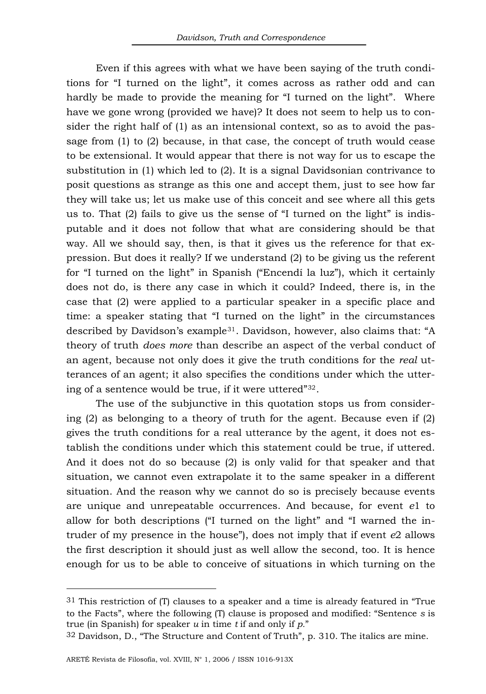Even if this agrees with what we have been saying of the truth conditions for "I turned on the light", it comes across as rather odd and can hardly be made to provide the meaning for "I turned on the light". Where have we gone wrong (provided we have)? It does not seem to help us to consider the right half of (1) as an intensional context, so as to avoid the passage from (1) to (2) because, in that case, the concept of truth would cease to be extensional. It would appear that there is not way for us to escape the substitution in (1) which led to (2). It is a signal Davidsonian contrivance to posit questions as strange as this one and accept them, just to see how far they will take us; let us make use of this conceit and see where all this gets us to. That (2) fails to give us the sense of "I turned on the light" is indisputable and it does not follow that what are considering should be that way. All we should say, then, is that it gives us the reference for that expression. But does it really? If we understand (2) to be giving us the referent for "I turned on the light" in Spanish ("Encendí la luz"), which it certainly does not do, is there any case in which it could? Indeed, there is, in the case that (2) were applied to a particular speaker in a specific place and time: a speaker stating that "I turned on the light" in the circumstances described by Davidson's example[31](#page-12-0). Davidson, however, also claims that: "A theory of truth *does more* than describe an aspect of the verbal conduct of an agent, because not only does it give the truth conditions for the *real* utterances of an agent; it also specifies the conditions under which the uttering of a sentence would be true, if it were uttered"[32](#page-12-1).

The use of the subjunctive in this quotation stops us from considering (2) as belonging to a theory of truth for the agent. Because even if (2) gives the truth conditions for a real utterance by the agent, it does not establish the conditions under which this statement could be true, if uttered. And it does not do so because (2) is only valid for that speaker and that situation, we cannot even extrapolate it to the same speaker in a different situation. And the reason why we cannot do so is precisely because events are unique and unrepeatable occurrences. And because, for event *e*1 to allow for both descriptions ("I turned on the light" and "I warned the intruder of my presence in the house"), does not imply that if event *e*2 allows the first description it should just as well allow the second, too. It is hence enough for us to be able to conceive of situations in which turning on the

<span id="page-12-0"></span> $31$  This restriction of (T) clauses to a speaker and a time is already featured in "True" to the Facts", where the following (T) clause is proposed and modified: "Sentence *s* is true (in Spanish) for speaker *u* in time *t* if and only if *p.*"

<span id="page-12-1"></span><sup>32</sup> Davidson, D., "The Structure and Content of Truth", p. 310. The italics are mine.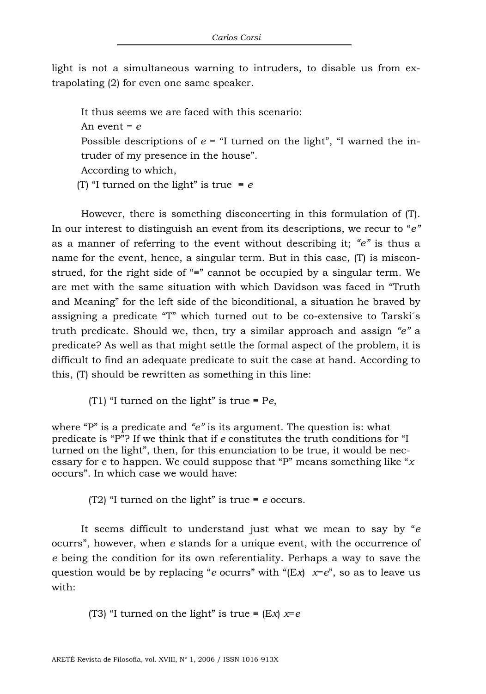light is not a simultaneous warning to intruders, to disable us from extrapolating (2) for even one same speaker.

It thus seems we are faced with this scenario: An event = *e* Possible descriptions of  $e = 4$  turned on the light", "I warned the intruder of my presence in the house". According to which,

(T) "I turned on the light" is true  $= e$ 

However, there is something disconcerting in this formulation of (T). In our interest to distinguish an event from its descriptions, we recur to "*e"*  as a manner of referring to the event without describing it; *"e"* is thus a name for the event, hence, a singular term. But in this case, (T) is misconstrued, for the right side of "≡" cannot be occupied by a singular term. We are met with the same situation with which Davidson was faced in "Truth and Meaning" for the left side of the biconditional, a situation he braved by assigning a predicate "T" which turned out to be co-extensive to Tarski´s truth predicate. Should we, then, try a similar approach and assign *"e"* a predicate? As well as that might settle the formal aspect of the problem, it is difficult to find an adequate predicate to suit the case at hand. According to this, (T) should be rewritten as something in this line:

(T1) "I turned on the light" is true ≡ P*e*,

where "P" is a predicate and *"e"* is its argument. The question is: what predicate is "P"? If we think that if *e* constitutes the truth conditions for "I turned on the light", then, for this enunciation to be true, it would be necessary for e to happen. We could suppose that "P" means something like "*x* occurs". In which case we would have:

(T2) "I turned on the light" is true ≡ *e* occurs.

It seems difficult to understand just what we mean to say by "*e* ocurrs", however, when *e* stands for a unique event, with the occurrence of *e* being the condition for its own referentiality. Perhaps a way to save the question would be by replacing "*e* ocurrs" with " $(Ex)$   $x=e$ ", so as to leave us with:

(T3) "I turned on the light" is true =  $(Ex)$   $x=e$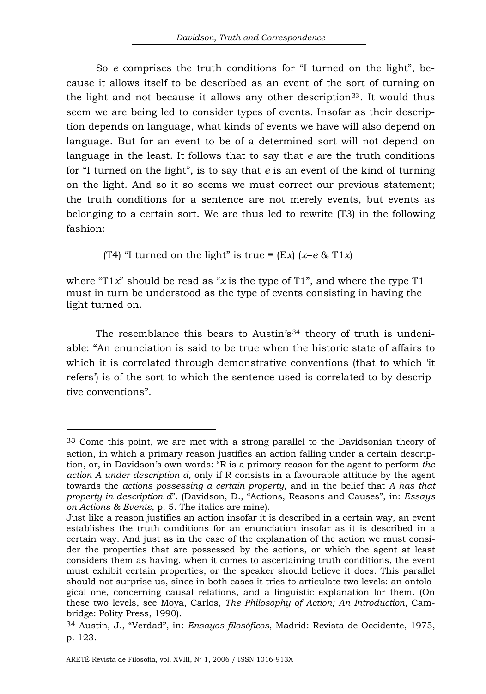So *e* comprises the truth conditions for "I turned on the light", because it allows itself to be described as an event of the sort of turning on the light and not because it allows any other description<sup>[33](#page-14-0)</sup>. It would thus seem we are being led to consider types of events. Insofar as their description depends on language, what kinds of events we have will also depend on language. But for an event to be of a determined sort will not depend on language in the least. It follows that to say that *e* are the truth conditions for "I turned on the light", is to say that *e* is an event of the kind of turning on the light. And so it so seems we must correct our previous statement; the truth conditions for a sentence are not merely events, but events as belonging to a certain sort. We are thus led to rewrite (T3) in the following fashion:

(T4) "I turned on the light" is true =  $(Ex)$  ( $x=e$  & T1*x*)

where "T1*x*" should be read as "*x* is the type of T1", and where the type T1 must in turn be understood as the type of events consisting in having the light turned on.

The resemblance this bears to Austin's<sup>[34](#page-14-1)</sup> theory of truth is undeniable: "An enunciation is said to be true when the historic state of affairs to which it is correlated through demonstrative conventions (that to which 'it refers') is of the sort to which the sentence used is correlated to by descriptive conventions".

<span id="page-14-0"></span><sup>33</sup> Come this point, we are met with a strong parallel to the Davidsonian theory of action, in which a primary reason justifies an action falling under a certain description, or, in Davidson's own words: "R is a primary reason for the agent to perform *the action A under description d,* only if R consists in a favourable attitude by the agent towards the *actions possessing a certain property*, and in the belief that *A has that property in description d*". (Davidson, D., "Actions, Reasons and Causes", in: *Essays on Actions & Events*, p. 5. The italics are mine).

Just like a reason justifies an action insofar it is described in a certain way, an event establishes the truth conditions for an enunciation insofar as it is described in a certain way. And just as in the case of the explanation of the action we must consider the properties that are possessed by the actions, or which the agent at least considers them as having, when it comes to ascertaining truth conditions, the event must exhibit certain properties, or the speaker should believe it does. This parallel should not surprise us, since in both cases it tries to articulate two levels: an ontological one, concerning causal relations, and a linguistic explanation for them. (On these two levels, see Moya, Carlos, *The Philosophy of Action; An Introduction*, Cambridge: Polity Press, 1990).

<span id="page-14-1"></span><sup>34</sup> Austin, J., "Verdad", in: *Ensayos filosóficos*, Madrid: Revista de Occidente, 1975, p. 123.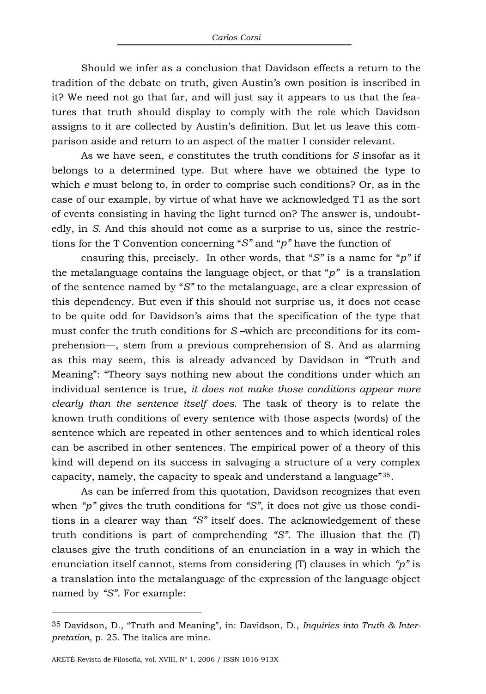Should we infer as a conclusion that Davidson effects a return to the tradition of the debate on truth, given Austin's own position is inscribed in it? We need not go that far, and will just say it appears to us that the features that truth should display to comply with the role which Davidson assigns to it are collected by Austin's definition. But let us leave this comparison aside and return to an aspect of the matter I consider relevant.

As we have seen, *e* constitutes the truth conditions for *S* insofar as it belongs to a determined type. But where have we obtained the type to which *e* must belong to, in order to comprise such conditions? Or, as in the case of our example, by virtue of what have we acknowledged T1 as the sort of events consisting in having the light turned on? The answer is, undoubtedly, in *S.* And this should not come as a surprise to us, since the restrictions for the T Convention concerning "*S"* and "*p"* have the function of

ensuring this, precisely. In other words, that "*S"* is a name for "*p"* if the metalanguage contains the language object, or that "*p"* is a translation of the sentence named by "*S"* to the metalanguage, are a clear expression of this dependency. But even if this should not surprise us, it does not cease to be quite odd for Davidson's aims that the specification of the type that must confer the truth conditions for *S* –which are preconditions for its comprehension—, stem from a previous comprehension of S. And as alarming as this may seem, this is already advanced by Davidson in "Truth and Meaning": "Theory says nothing new about the conditions under which an individual sentence is true, *it does not make those conditions appear more clearly than the sentence itself does*. The task of theory is to relate the known truth conditions of every sentence with those aspects (words) of the sentence which are repeated in other sentences and to which identical roles can be ascribed in other sentences. The empirical power of a theory of this kind will depend on its success in salvaging a structure of a very complex capacity, namely, the capacity to speak and understand a language"[35](#page-15-0).

As can be inferred from this quotation, Davidson recognizes that even when *"p"* gives the truth conditions for *"S"*, it does not give us those conditions in a clearer way than *"S"* itself does. The acknowledgement of these truth conditions is part of comprehending *"S"*. The illusion that the (T) clauses give the truth conditions of an enunciation in a way in which the enunciation itself cannot, stems from considering (T) clauses in which *"p"* is a translation into the metalanguage of the expression of the language object named by *"S".* For example:

<span id="page-15-0"></span><sup>35</sup> Davidson, D., "Truth and Meaning", in: Davidson, D., *Inquiries into Truth & Interpretation*, p. 25. The italics are mine.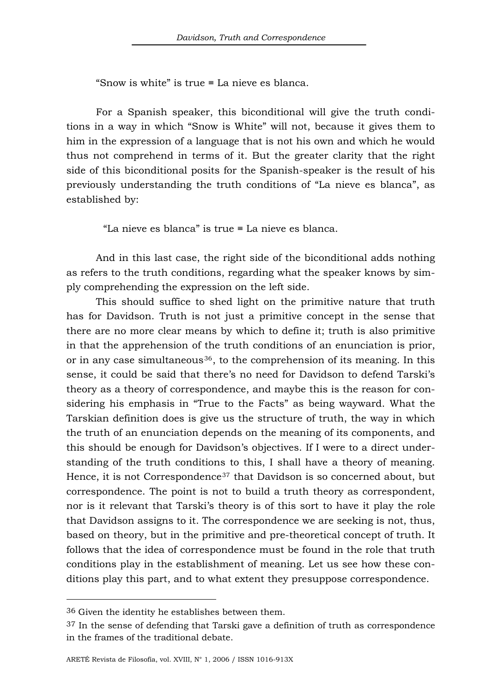"Snow is white" is true ≡ La nieve es blanca.

For a Spanish speaker, this biconditional will give the truth conditions in a way in which "Snow is White" will not, because it gives them to him in the expression of a language that is not his own and which he would thus not comprehend in terms of it. But the greater clarity that the right side of this biconditional posits for the Spanish-speaker is the result of his previously understanding the truth conditions of "La nieve es blanca", as established by:

"La nieve es blanca" is true ≡ La nieve es blanca.

And in this last case, the right side of the biconditional adds nothing as refers to the truth conditions, regarding what the speaker knows by simply comprehending the expression on the left side.

This should suffice to shed light on the primitive nature that truth has for Davidson. Truth is not just a primitive concept in the sense that there are no more clear means by which to define it; truth is also primitive in that the apprehension of the truth conditions of an enunciation is prior, or in any case simultaneous<sup>[36](#page-16-0)</sup>, to the comprehension of its meaning. In this sense, it could be said that there's no need for Davidson to defend Tarski's theory as a theory of correspondence, and maybe this is the reason for considering his emphasis in "True to the Facts" as being wayward. What the Tarskian definition does is give us the structure of truth, the way in which the truth of an enunciation depends on the meaning of its components, and this should be enough for Davidson's objectives. If I were to a direct understanding of the truth conditions to this, I shall have a theory of meaning. Hence, it is not Correspondence $37$  that Davidson is so concerned about, but correspondence. The point is not to build a truth theory as correspondent, nor is it relevant that Tarski's theory is of this sort to have it play the role that Davidson assigns to it. The correspondence we are seeking is not, thus, based on theory, but in the primitive and pre-theoretical concept of truth. It follows that the idea of correspondence must be found in the role that truth conditions play in the establishment of meaning. Let us see how these conditions play this part, and to what extent they presuppose correspondence.

<span id="page-16-0"></span><sup>36</sup> Given the identity he establishes between them.

<span id="page-16-1"></span><sup>&</sup>lt;sup>37</sup> In the sense of defending that Tarski gave a definition of truth as correspondence in the frames of the traditional debate.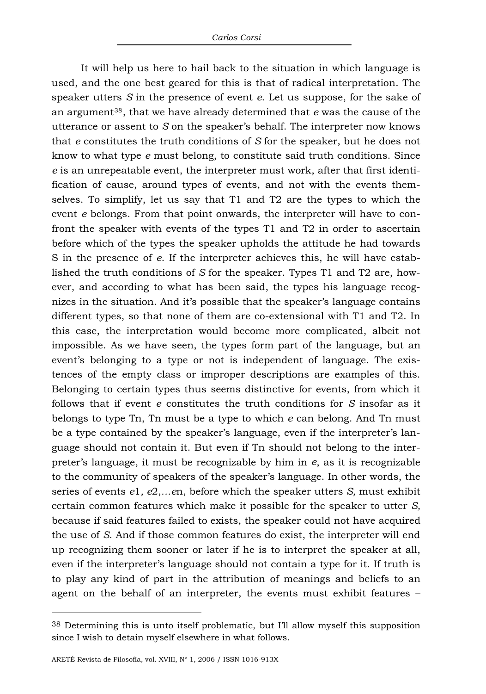It will help us here to hail back to the situation in which language is used, and the one best geared for this is that of radical interpretation. The speaker utters *S* in the presence of event *e*. Let us suppose, for the sake of an argument[38](#page-17-0), that we have already determined that *e* was the cause of the utterance or assent to *S* on the speaker's behalf. The interpreter now knows that *e* constitutes the truth conditions of *S* for the speaker, but he does not know to what type *e* must belong, to constitute said truth conditions. Since *e* is an unrepeatable event, the interpreter must work, after that first identification of cause, around types of events, and not with the events themselves. To simplify, let us say that T1 and T2 are the types to which the event *e* belongs. From that point onwards, the interpreter will have to confront the speaker with events of the types T1 and T2 in order to ascertain before which of the types the speaker upholds the attitude he had towards S in the presence of *e*. If the interpreter achieves this, he will have established the truth conditions of *S* for the speaker. Types T1 and T2 are, however, and according to what has been said, the types his language recognizes in the situation. And it's possible that the speaker's language contains different types, so that none of them are co-extensional with T1 and T2. In this case, the interpretation would become more complicated, albeit not impossible. As we have seen, the types form part of the language, but an event's belonging to a type or not is independent of language. The existences of the empty class or improper descriptions are examples of this. Belonging to certain types thus seems distinctive for events, from which it follows that if event *e* constitutes the truth conditions for *S* insofar as it belongs to type Tn, Tn must be a type to which *e* can belong. And Tn must be a type contained by the speaker's language, even if the interpreter's language should not contain it. But even if Tn should not belong to the interpreter's language, it must be recognizable by him in *e*, as it is recognizable to the community of speakers of the speaker's language. In other words, the series of events *e*1*, e*2,*…e*n, before which the speaker utters *S,* must exhibit certain common features which make it possible for the speaker to utter *S,*  because if said features failed to exists, the speaker could not have acquired the use of *S*. And if those common features do exist, the interpreter will end up recognizing them sooner or later if he is to interpret the speaker at all, even if the interpreter's language should not contain a type for it. If truth is to play any kind of part in the attribution of meanings and beliefs to an agent on the behalf of an interpreter, the events must exhibit features –

<span id="page-17-0"></span><sup>38</sup> Determining this is unto itself problematic, but I'll allow myself this supposition since I wish to detain myself elsewhere in what follows.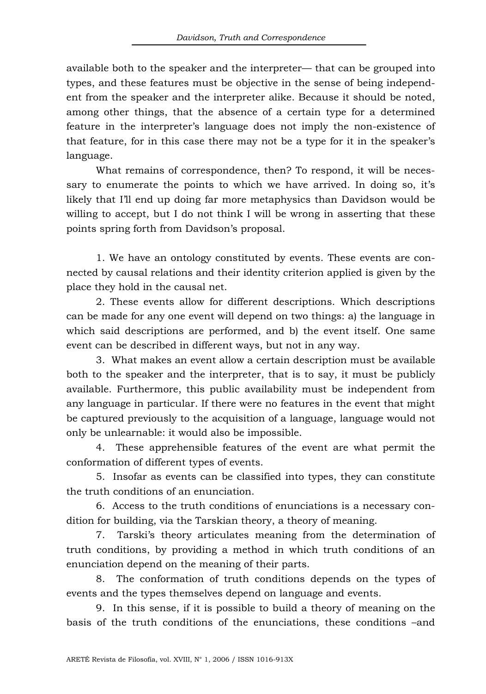available both to the speaker and the interpreter— that can be grouped into types, and these features must be objective in the sense of being independent from the speaker and the interpreter alike. Because it should be noted, among other things, that the absence of a certain type for a determined feature in the interpreter's language does not imply the non-existence of that feature, for in this case there may not be a type for it in the speaker's language.

What remains of correspondence, then? To respond, it will be necessary to enumerate the points to which we have arrived. In doing so, it's likely that I'll end up doing far more metaphysics than Davidson would be willing to accept, but I do not think I will be wrong in asserting that these points spring forth from Davidson's proposal.

1. We have an ontology constituted by events. These events are connected by causal relations and their identity criterion applied is given by the place they hold in the causal net.

2. These events allow for different descriptions. Which descriptions can be made for any one event will depend on two things: a) the language in which said descriptions are performed, and b) the event itself. One same event can be described in different ways, but not in any way.

3. What makes an event allow a certain description must be available both to the speaker and the interpreter, that is to say, it must be publicly available. Furthermore, this public availability must be independent from any language in particular. If there were no features in the event that might be captured previously to the acquisition of a language, language would not only be unlearnable: it would also be impossible.

4. These apprehensible features of the event are what permit the conformation of different types of events.

5. Insofar as events can be classified into types, they can constitute the truth conditions of an enunciation.

6. Access to the truth conditions of enunciations is a necessary condition for building, via the Tarskian theory, a theory of meaning.

7. Tarski's theory articulates meaning from the determination of truth conditions, by providing a method in which truth conditions of an enunciation depend on the meaning of their parts.

8. The conformation of truth conditions depends on the types of events and the types themselves depend on language and events.

9. In this sense, if it is possible to build a theory of meaning on the basis of the truth conditions of the enunciations, these conditions –and